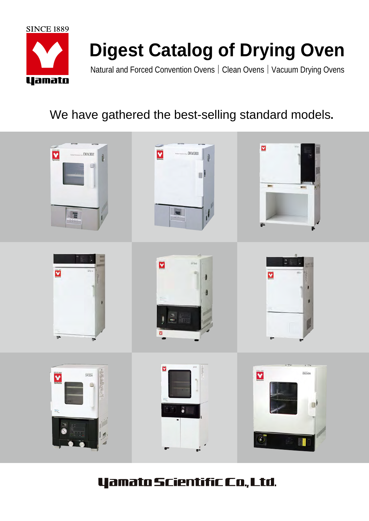

# **Digest Catalog of Drying Oven**

Natural and Forced Convention Ovens | Clean Ovens | Vacuum Drying Ovens

# We have gathered the best-selling standard models.



# **Yamato Scientific Co., Ltd.**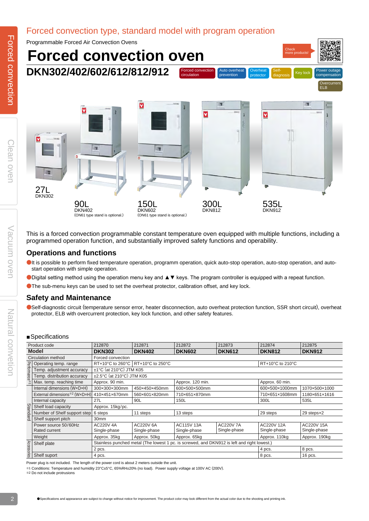### Forced convection type, standard model with program operation



This is a forced convection programmable constant temperature oven equipped with multiple functions, including a programmed operation function, and substantially improved safety functions and operability.

#### **Operations and functions**

- ●It is possible to perform fixed temperature operation, programm operation, quick auto-stop operation, auto-stop operation, and autostart operation with simple operation.
- ●Digital setting method using the operation menu key and ▲▼ keys. The program controller is equipped with a repeat function.
- ●The sub-menu keys can be used to set the overheat protector, calibration offset, and key lock.

#### **Safety and Maintenance**

●Self-diagnostic circuit (temperature sensor error, heater disconnection, auto overheat protection function, SSR short circuit), overheat protector, ELB with overcurrent protection, key lock function, and other safety features.

#### ■Specifications

| Product code       |                                       | 212870                    | 212871                                                  | 212872                                                                                      | 212873<br>212874                 |                            | 212875                     |  |  |  |  |  |
|--------------------|---------------------------------------|---------------------------|---------------------------------------------------------|---------------------------------------------------------------------------------------------|----------------------------------|----------------------------|----------------------------|--|--|--|--|--|
| <b>Model</b>       |                                       | <b>DKN302</b>             | <b>DKN402</b>                                           | <b>DKN602</b>                                                                               | <b>DKN612</b>                    | <b>DKN812</b>              | <b>DKN912</b>              |  |  |  |  |  |
| Circulation method |                                       | Forced convection         |                                                         |                                                                                             |                                  |                            |                            |  |  |  |  |  |
|                    | Operating temp. range                 |                           | RT+10°C to 260°C   RT+10°C to 250°C<br>RT+10°C to 210°C |                                                                                             |                                  |                            |                            |  |  |  |  |  |
|                    | Temp. adjustment accuracy             | ±1°C (at 210°C) JTM K05   |                                                         |                                                                                             |                                  |                            |                            |  |  |  |  |  |
| Performance        | Temp. distribution accuracy           | ±2.5°C (at 210°C) JTM K05 |                                                         |                                                                                             |                                  |                            |                            |  |  |  |  |  |
|                    | Max. temp. reaching time              | Approx. 90 min.           |                                                         | Approx. 120 min.                                                                            |                                  | Approx. 60 min.            |                            |  |  |  |  |  |
|                    | Internal dimensions (WxDxH)           | 300×300×300mm             | 450×450×450mm                                           | 600×500×500mm                                                                               |                                  | 600×500×1000mm             | 1070×500×1000              |  |  |  |  |  |
|                    | External dimensions*2 (WxDxH)         | 410×451×670mm             | 560×601×820mm                                           | 710×651×870mm                                                                               |                                  | 710×651×1608mm             | 1180×651×1616              |  |  |  |  |  |
|                    | Internal capacity                     | 27L                       | 90L                                                     | 150L                                                                                        |                                  | 300L                       | 535L                       |  |  |  |  |  |
|                    | Shelf load capacity                   | Approx. 15kg/pc.          |                                                         |                                                                                             |                                  |                            |                            |  |  |  |  |  |
| Standard           | Number of Shelf support step          | 6 steps                   | 11 steps                                                | 13 steps                                                                                    |                                  | 29 steps                   | 29 stepsx2                 |  |  |  |  |  |
|                    | Shelf support pitch                   | 30mm                      |                                                         |                                                                                             |                                  |                            |                            |  |  |  |  |  |
|                    | Power source 50/60Hz<br>Rated current | AC220V 4A<br>Single-phase | AC220V 6A<br>Single-phase                               | <b>AC115V 13A</b><br>Single-phase                                                           | <b>AC220V 7A</b><br>Single-phase | AC220V 12A<br>Single-phase | AC220V 15A<br>Single-phase |  |  |  |  |  |
|                    | Weight                                | Approx. 35kg              | Approx. 50kg                                            | Approx. 65kg                                                                                |                                  | Approx. 110kg              | Approx. 190kg              |  |  |  |  |  |
|                    | Shelf plate                           |                           |                                                         | Stainless punched metal (The lowest 1 pc. is screwed, and DKN912 is left and right lowest.) |                                  |                            |                            |  |  |  |  |  |
| Accessories        |                                       | 2 pcs.                    |                                                         |                                                                                             |                                  | 4 pcs.                     | 8 pcs.                     |  |  |  |  |  |
|                    | Shelf suport                          | 4 pcs.                    |                                                         |                                                                                             | 16 pcs.<br>8 pcs.                |                            |                            |  |  |  |  |  |

Power plug is not included. The length of the power cord is about 2 meters outside the unit.

※1 Conditions: Temperature and humidity 23°C±5°C, 65%RH±20% (no load). Power supply voltage at 100V AC (200V). ※2 Do not include protrusions

Vacuum over

Natural convetion

Natural convetion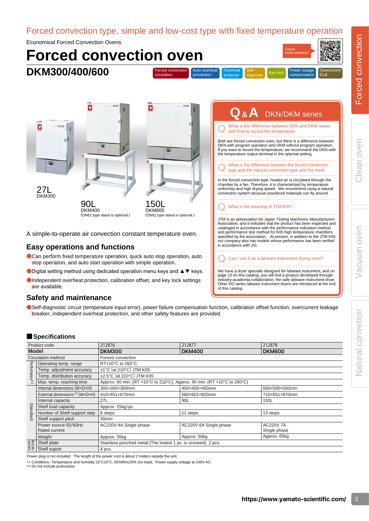Natural convetion

Forced convection type, simple and low-cost type with fixed temperature operation

Economical Forced Convection Ovens



#### ●Can perform fixed temperature operation, quick auto stop operation, auto stop operation, and auto start operation with simple operation.

- ●Digital setting method using dedicated operation menu keys and ▲▼ keys.
- ●Independent overheat protection, calibration offset, and key lock settings are available.

#### **Safety and maintenance**

●Self-diagnostic circuit (temperature input error), power failure compensation function, calibration offset function, overcurrent leakage breaker, independent overheat protection, and other safety features are provided.

#### ■ **Specifications**

| Product code |                               | 212876                                                                   | 212877                 | 212878           |  |  |  |  |  |
|--------------|-------------------------------|--------------------------------------------------------------------------|------------------------|------------------|--|--|--|--|--|
| <b>Model</b> |                               | <b>DKM300</b>                                                            | <b>DKM400</b>          | <b>DKM600</b>    |  |  |  |  |  |
|              | Circulation method            | Forced convection                                                        |                        |                  |  |  |  |  |  |
|              | Operating temp. range         | RT+10°C to 260°C                                                         |                        |                  |  |  |  |  |  |
|              | Temp. adjustment accuracy     | ±1°C (at 210°C) JTM K05                                                  |                        |                  |  |  |  |  |  |
| Performance* | Temp. distribution accuracy   | ±2.5°C (at 210°C) JTM K05                                                |                        |                  |  |  |  |  |  |
|              | Max. temp. reaching time      | Approx. 60 min. (RT +10°C to 210°C), Approx. 90 min. (RT +10°C to 260°C) |                        |                  |  |  |  |  |  |
|              | Internal dimensions (WxDxH)   | 300×300×300mm                                                            | 450×450×450mm          | 600×500×500mm    |  |  |  |  |  |
|              | External dimensions*2 (WxDxH) | 410×451×670mm                                                            | 560×601×820mm          | 710×651×870mm    |  |  |  |  |  |
|              | Internal capacity             | 27L                                                                      | 90L                    | 150L             |  |  |  |  |  |
| Standard     | Shelf load capacity           | Approx. 15kg/pc.                                                         |                        |                  |  |  |  |  |  |
|              | Number of Shelf support step  | 6 steps                                                                  | 11 steps               | 13 steps         |  |  |  |  |  |
|              | Shelf support pitch           | 30 <sub>mm</sub>                                                         |                        |                  |  |  |  |  |  |
|              | Power source 50/60Hz          | AC220V 4A Single phase                                                   | AC220V 6A Single phase | <b>AC220V 7A</b> |  |  |  |  |  |
|              | Rated current                 |                                                                          |                        | Single phase     |  |  |  |  |  |
|              | Weight                        | Approx. 35kg                                                             | Approx. 50kg           | Approx. 65kg     |  |  |  |  |  |
| Acces-       | Shelf plate                   | Stainless punched metal (The lowest 1 pc. is screwed), 2 pcs.            |                        |                  |  |  |  |  |  |
|              | Shelf suport                  | 4 pcs.                                                                   |                        |                  |  |  |  |  |  |

Power plug is not included. The length of the power cord is about 2 meters outside the unit.

※1 Conditions: Temperature and humidity 23°C±5°C, 65%RH±20% (no load). Power supply voltage at 100V AC.

※2 Do not include protrusions

We have a dryer specially designed for labware instrument, and on<br>page 10 on this catalog, you will find a product developed through<br>industry-academia collaboration, the safe labware instrument dryer. Other DG series labware instrument dryers are introduced at the end

of this catalog.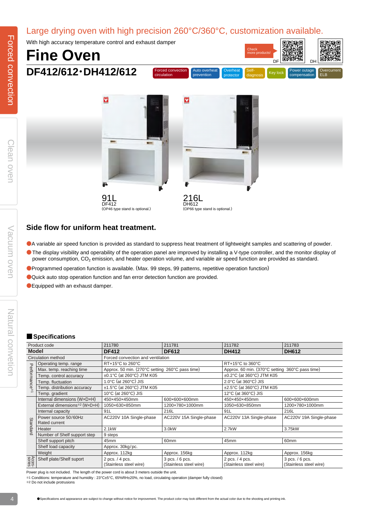### Large drying oven with high precision 260°C/360°C, customization available.

With high accuracy temperature control and exhaust damper

# **Fine Oven DF412/612**・**DH412/612**



Check

鳳凰英男

恩祿神恩



#### **Side flow for uniform heat treatment.**

- ●A variable air speed function is provided as standard to suppress heat treatment of lightweight samples and scattering of powder.
- ●The display visibility and operability of the operation panel are improved by installing a V-type controller, and the monitor display of power consumption, CO<sub>2</sub> emission, and heater operation volume, and variable air speed function are provided as standard.
- ●Programmed operation function is available. (Max. 99 steps, 99 patterns, repetitive operation function)
- ●Quick auto stop operation function and fan error detection function are provided.
- ●Equipped with an exhaust damper.

#### ■ **Specifications**

| Product code                                 |                                                                                                                                                                                                                                                      | 211780                                                                                 | 211781                  | 211782                                                                                 | 211783                  |  |
|----------------------------------------------|------------------------------------------------------------------------------------------------------------------------------------------------------------------------------------------------------------------------------------------------------|----------------------------------------------------------------------------------------|-------------------------|----------------------------------------------------------------------------------------|-------------------------|--|
| <b>Model</b>                                 |                                                                                                                                                                                                                                                      | <b>DF412</b>                                                                           | <b>DF612</b>            | <b>DH412</b>                                                                           | <b>DH612</b>            |  |
| Circulation method                           |                                                                                                                                                                                                                                                      | Forced convection and ventilation                                                      |                         |                                                                                        |                         |  |
| $\mathbf{\tau}$<br>erformance <sup>**1</sup> | Operating temp. range                                                                                                                                                                                                                                | RT+15°C to 260°C                                                                       |                         | RT+15°C to 360°C                                                                       |                         |  |
|                                              | Max. temp. reaching time                                                                                                                                                                                                                             | Approx. 50 min. (270°C setting 260°C pass time)                                        |                         | Approx. 60 min. (370°C setting 360°C pass time)                                        |                         |  |
|                                              | Temp. control accuracy                                                                                                                                                                                                                               | ±0.1°C (at 260°C) JTM K05                                                              |                         | ±0.2°C (at 360°C) JTM K05                                                              |                         |  |
|                                              | Temp. fluctuation                                                                                                                                                                                                                                    | 1.0°C (at 260°C) JIS                                                                   |                         | 2.0°C (at 360°C) JIS                                                                   |                         |  |
|                                              | Temp. distribution accuracy                                                                                                                                                                                                                          | ±1.5°C (at 260°C) JTM K05                                                              |                         | ±2.5°C (at 360°C) JTM K05                                                              |                         |  |
|                                              | 10 $\degree$ C (at 260 $\degree$ C) JIS<br>Temp. gradient                                                                                                                                                                                            |                                                                                        |                         | 12 $\degree$ C (at 360 $\degree$ C) JIS                                                |                         |  |
|                                              | Internal dimensions (WxDxH)                                                                                                                                                                                                                          | 450×450×450mm                                                                          | 600×600×600mm           | 450×450×450mm                                                                          | 600×600×600mm           |  |
|                                              | External dimensions <sup>**</sup> 2 (WxDxH)                                                                                                                                                                                                          | 1050×630×850mm                                                                         | 1200×780×1000mm         | 1050×630×850mm                                                                         | 1200×780×1000mm         |  |
|                                              | Internal capacity                                                                                                                                                                                                                                    | 91L                                                                                    | 216L                    | 91L                                                                                    | 216L                    |  |
|                                              | Power source 50/60Hz                                                                                                                                                                                                                                 | AC220V 10A Single-phase                                                                | AC220V 15A Single-phase | AC220V 13A Single-phase                                                                | AC220V 19A Single-phase |  |
|                                              | Rated current                                                                                                                                                                                                                                        |                                                                                        |                         |                                                                                        |                         |  |
| Standard                                     | Heater                                                                                                                                                                                                                                               | 2.1kW                                                                                  | 3.0kW                   | 2.7kW                                                                                  | 3.75kW                  |  |
|                                              | Number of Shelf support step                                                                                                                                                                                                                         | 9 steps                                                                                |                         |                                                                                        |                         |  |
|                                              | Shelf support pitch                                                                                                                                                                                                                                  | 45 <sub>mm</sub>                                                                       | 60 <sub>mm</sub>        | 45mm                                                                                   | 60 <sub>mm</sub>        |  |
|                                              | Shelf load capacity                                                                                                                                                                                                                                  | Approx. 30kg/pc.                                                                       |                         |                                                                                        |                         |  |
|                                              | Weight                                                                                                                                                                                                                                               | Approx. 112kg                                                                          | Approx. 156kg           | Approx. 112kg                                                                          | Approx. 156kg           |  |
| Acces-                                       | Shelf plate/Shelf suport                                                                                                                                                                                                                             | 2 pcs. / 4 pcs.<br>3 pcs. / 6 pcs.<br>(Stainless steel wire)<br>(Stainless steel wire) |                         | 2 pcs. / 4 pcs.<br>3 pcs. / 6 pcs.<br>(Stainless steel wire)<br>(Stainless steel wire) |                         |  |
|                                              | Power plug is not included. The length of the power cord is about 3 meters outside the unit.<br>*1 Conditions: temperature and humidity : 23°C±5°C, 65%RH±20%, no load, circulating operation (damper fully closed)<br>*2 Do not include protrusions |                                                                                        |                         |                                                                                        |                         |  |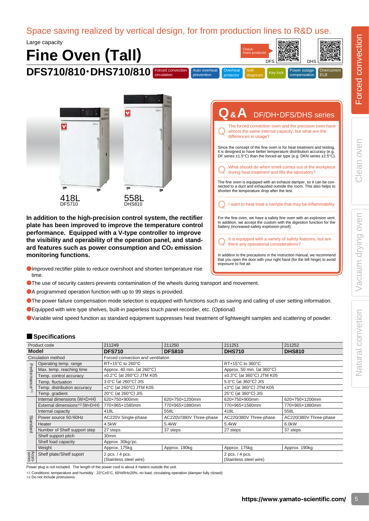Vacuum drying oven Clean oven

Vacuum drying oven

Natural convetion

Clean oven

 $\sum_{i=1}^{n}$ 

### Space saving realized by vertical design, for from production lines to R&D use.

Auto overheat prevention

Large capacity

# **Fine Oven (Tall) DFS710/810** • DHS710/810 **Forced convection**



**In addition to the high-precision control system, the rectifier plate has been improved to improve the temperature control performance. Equipped with a V-type controller to improve the visibility and operability of the operation panel, and standard features such as power consumption and CO2 emission monitoring functions.**

- ●Improved rectifier plate to reduce overshoot and shorten temperature rise time.
- ●The use of security casters prevents contamination of the wheels during transport and movement.
- ●A programmed operation function with up to 99 steps is provided.
- ●The power failure compensation mode selection is equipped with functions such as saving and calling of user setting information.
- ●Equipped with wire type shelves, built-in paperless touch panel recorder, etc. (Optional)
- ●Variable wind speed function as standard equipment suppresses heat treatment of lightweight samples and scattering of powder.

#### ■ **Specifications**

| Product code              |                                                                                                                                                                                                                                                      | 211249                                          | 211250                  | 211251                                          | 211252                 |  |  |  |
|---------------------------|------------------------------------------------------------------------------------------------------------------------------------------------------------------------------------------------------------------------------------------------------|-------------------------------------------------|-------------------------|-------------------------------------------------|------------------------|--|--|--|
| <b>Model</b>              |                                                                                                                                                                                                                                                      | <b>DFS710</b>                                   | <b>DFS810</b>           | <b>DHS710</b>                                   | <b>DHS810</b>          |  |  |  |
| Circulation method        |                                                                                                                                                                                                                                                      | Forced convection and ventilation               |                         |                                                 |                        |  |  |  |
| $\mathbf{\tau}$           | Operating temp. range                                                                                                                                                                                                                                | RT+15°C to 260°C                                |                         | RT+15°C to 360°C                                |                        |  |  |  |
| erformance <sup>**1</sup> | Max. temp. reaching time                                                                                                                                                                                                                             | Approx. 40 min. (at 260°C)                      |                         | Approx. 50 min. (at $360^{\circ}$ C)            |                        |  |  |  |
|                           | Temp. control accuracy                                                                                                                                                                                                                               | ±0.2°C (at 260°C) JTM K05                       |                         | ±0.3°C (at 360°C) JTM K05                       |                        |  |  |  |
|                           | Temp. fluctuation                                                                                                                                                                                                                                    | 3.0°C (at 260°C) JIS                            |                         | 5.0°C (at 360°C) JIS                            |                        |  |  |  |
|                           | Temp. distribution accuracy                                                                                                                                                                                                                          | $\pm 2^{\circ}$ C (at 260 $^{\circ}$ C) JTM K05 |                         | $\pm 3^{\circ}$ C (at 360 $^{\circ}$ C) JTM K05 |                        |  |  |  |
|                           | Temp. gradient                                                                                                                                                                                                                                       | 20°C (at 260°C) JIS                             |                         | 25°C (at 360°C) JIS                             |                        |  |  |  |
|                           | Internal dimensions (WxDxH)                                                                                                                                                                                                                          | 620×750×900mm                                   | 620×750×1200mm          | 620×750×900mm                                   | 620×750×1200mm         |  |  |  |
|                           | External dimensions*2 (WxDxH)                                                                                                                                                                                                                        | 770×965×1580mm                                  | 770×965×1880mm          | 770×965×1580mm                                  | 770×965×1880mm         |  |  |  |
|                           | Internal capacity                                                                                                                                                                                                                                    | 418L                                            | 558L                    | 418L                                            | 558L                   |  |  |  |
|                           | Power source 50/60Hz                                                                                                                                                                                                                                 | AC220V Single-phase                             | AC220V/380V Three-phase | AC220/380V Three-phase                          | AC220/380V Three-phase |  |  |  |
| Standard                  | Heater                                                                                                                                                                                                                                               | 4.5kW                                           | 5.4kW                   | 5.4kW                                           | 6.0kW                  |  |  |  |
|                           | Number of Shelf support step                                                                                                                                                                                                                         | 27 steps                                        | 37 steps                | 27 steps                                        | 37 steps               |  |  |  |
|                           | Shelf support pitch                                                                                                                                                                                                                                  | 30mm                                            |                         |                                                 |                        |  |  |  |
|                           | Shelf load capacity                                                                                                                                                                                                                                  | Approx. 30kg/pc.                                |                         |                                                 |                        |  |  |  |
|                           | Weight                                                                                                                                                                                                                                               | Approx. 175kg                                   | Approx. 190kg           | Approx. 175kg                                   | Approx. 190kg          |  |  |  |
|                           | Shelf plate/Shelf suport                                                                                                                                                                                                                             |                                                 |                         | 2 pcs. / 4 pcs.                                 |                        |  |  |  |
| Acces-                    | Power plug is not included. The length of the power cord is about 4 meters outside the unit.<br>16 Conditions: temperature and humidity : 23°C±5°C, 65%RH±20%, no load, circulating operation (damper fully closed)<br>*2 Do not include protrusions | 2 pcs. / 4 pcs.<br>(Stainless steel wire)       | (Stainless steel wire)  |                                                 |                        |  |  |  |

| Q & A DF/DH DFS/DHS series                                                                                                                                                                                             |
|------------------------------------------------------------------------------------------------------------------------------------------------------------------------------------------------------------------------|
| The forced convection oven and the precision oven have<br>almost the same internal capacity, but what are the<br>differences in usage?                                                                                 |
| Since the concept of the fine oven is for heat treatment and testing,<br>it is designed to have better temperature distribution accuracy (e.g.<br>DF series ±1.5°C) than the forced-air type (e.g. DKN series ±2.5°C). |
| What should do when smell comes out of the workpiece<br>during heat treatment and fills the laboratory?                                                                                                                |
| The fine oven is equipped with an exhaust damper, so it can be con-<br>nected to a duct and exhausted outside the room. This also helps to<br>shorten the temperature drop after the test.                             |
| I want to heat treat a sample that may be inflammability.                                                                                                                                                              |
| For the fine oven, we have a safety fine oven with an explosion vent.<br>In addition, we accept the custom with the digestion function for the<br>battery (increased-safety explosion-proof).                          |
| It is equipped with a variety of safety features, but are<br>there any operational considerations?                                                                                                                     |
| In addition to the processions in the instruction manual, we recommend                                                                                                                                                 |

diagnosis

Check more products!

Overheat Self-<br>protector diagnosis Key lock compensation

compensation

DFS **DHS** 

**Overcurrent** ELB

រលា

**Overheat** 

In addition to the precautions in the instruction manual, we recommend that you open the door with your right hand (for the left hinge) to avoid exposure to hot air.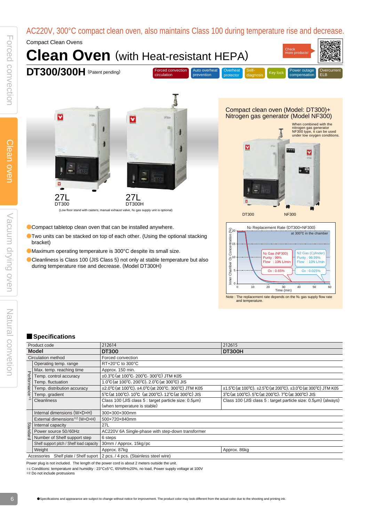### AC220V, 300°C compact clean oven, also maintains Class 100 during temperature rise and decrease.

Compact Clean Ovens





Compact clean oven (Model: DT300)+ Nitrogen gas generator (Model NF300)





Compact tabletop clean oven that can be installed anywhere.

- ●Two units can be stacked on top of each other. (Using the optional stacking bracket)
- ●Maximum operating temperature is 300°C despite its small size.
- ●Cleanliness is Class 100 (JIS Class 5) not only at stable temperature but also during temperature rise and decrease. (Model DT300H)

#### ■ **Specifications**

|                                        | Product code                              | 212614                                                                                                         | 212615                                                                                                                                  |  |  |  |  |
|----------------------------------------|-------------------------------------------|----------------------------------------------------------------------------------------------------------------|-----------------------------------------------------------------------------------------------------------------------------------------|--|--|--|--|
| <b>Model</b>                           |                                           | <b>DT300</b>                                                                                                   | <b>DT300H</b>                                                                                                                           |  |  |  |  |
| Circulation method                     |                                           | Forced convection                                                                                              |                                                                                                                                         |  |  |  |  |
| $\overline{\mathbf{U}}$                | Operating temp. range                     | RT+20°C to 300°C                                                                                               |                                                                                                                                         |  |  |  |  |
|                                        | Max. temp. reaching time                  | Approx. 150 min.                                                                                               |                                                                                                                                         |  |  |  |  |
|                                        | Temp. control accuracy                    | ±0.3°C (at 100°C, 200°C, 300°C) JTM K05                                                                        |                                                                                                                                         |  |  |  |  |
|                                        | Temp. fluctuation                         | 1.0°C (at 100°C, 200°C), 2.0°C (at 300°C) JIS                                                                  |                                                                                                                                         |  |  |  |  |
| erforman                               | Temp. distribution accuracy               | $\pm 2.0^{\circ}$ C (at 100 $^{\circ}$ C), $\pm 4.0^{\circ}$ C (at 200 $^{\circ}$ C, 300 $^{\circ}$ C) JTM K05 | $\pm 1.5^{\circ}$ C (at 100 $^{\circ}$ C), $\pm 2.5^{\circ}$ C (at 200 $^{\circ}$ C), $\pm 3.0^{\circ}$ C (at 300 $^{\circ}$ C) JTM K05 |  |  |  |  |
| ce <sup>*1</sup>                       | Temp. gradient                            | 5°C (at 100°C), 10°C (at 200°C), 12°C (at 300°C) JIS                                                           | 3°C (at 100°C), 5°C (at 200°C), 7°C (at 300°C) JIS                                                                                      |  |  |  |  |
|                                        | <b>Cleanliness</b>                        | Class 100 (JIS class 5 : target particle size: 0.5µm)<br>(when temperature is stable)                          | Class 100 (JIS class 5 : target particle size: 0.5µm) (always)                                                                          |  |  |  |  |
|                                        | Internal dimensions (WxDxH)               | 300×300×300mm                                                                                                  |                                                                                                                                         |  |  |  |  |
|                                        | External dimensions*2 (WxDxH)             | 500×720×840mm                                                                                                  |                                                                                                                                         |  |  |  |  |
|                                        | Internal capacity                         | 27L                                                                                                            |                                                                                                                                         |  |  |  |  |
| Standard                               | Power source 50/60Hz                      | AC220V 6A Single-phase with step-down transformer                                                              |                                                                                                                                         |  |  |  |  |
|                                        | Number of Shelf support step              | 6 steps                                                                                                        |                                                                                                                                         |  |  |  |  |
|                                        | Shelf support pitch / Shelf load capacity | 30mm / Approx. 15kg/pc                                                                                         |                                                                                                                                         |  |  |  |  |
|                                        | Weight                                    | Approx. 87kg                                                                                                   | Approx. 86kg                                                                                                                            |  |  |  |  |
| Accessories Shelf plate / Shelf suport |                                           | 2 pcs. / 4 pcs. (Stainless steel wire)                                                                         |                                                                                                                                         |  |  |  |  |

Power plug is not included. The length of the power cord is about 2 meters outside the unit.

※1 Conditions: temperature and humidity : 23°C±5°C, 65%RH±20%, no load, Power supply voltage at 100V

※2 Do not include protrusions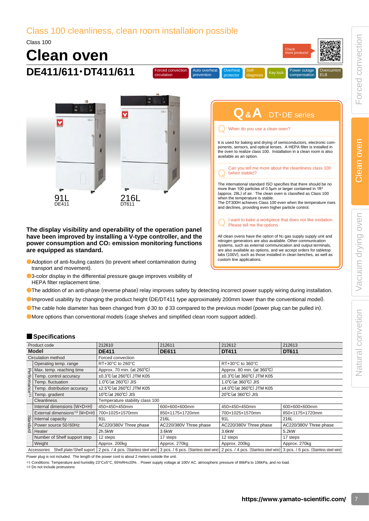**Overcurrent** ELB

### Class 100 cleanliness, clean room installation possible Class 100

Forced convection circulation

Auto overheat prevention

**Clean oven DE411/611**・**DT411/611**

> M 216L 91L DE411 **DT611**

#### **The display visibility and operability of the operation panel have been improved by installing a V-type controller, and the power consumption and CO**2 **emission monitoring functions are equipped as standard.**

- Adoption of anti-fouling casters (to prevent wheel contamination during transport and movement).
- ●3-color display in the differential pressure gauge improves visibility of HEPA filter replacement time.
- ●The addition of an anti-phase (reverse phase) relay improves safety by detecting incorrect power supply wiring during installation.
- ●Improved usability by changing the product height (DE/DT411 type approximately 200mm lower than the conventional model).
- The cable hole diameter has been changed from  $\phi$  30 to  $\phi$  33 compared to the previous model (power plug can be pulled in).
- ●More options than conventional models (cage shelves and simplified clean room support added).

#### ■ **Specifications**

| Product code                         |                               | 212610                                            | 212611                 | 212612                                            | 212613                                                                                                                                                      |  |  |  |
|--------------------------------------|-------------------------------|---------------------------------------------------|------------------------|---------------------------------------------------|-------------------------------------------------------------------------------------------------------------------------------------------------------------|--|--|--|
|                                      | <b>Model</b>                  | <b>DE411</b>                                      | <b>DE611</b>           | <b>DT411</b>                                      | <b>DT611</b>                                                                                                                                                |  |  |  |
|                                      | Circulation method            | Forced convection                                 |                        |                                                   |                                                                                                                                                             |  |  |  |
|                                      | Operating temp. range         | RT+30°C to 260°C                                  |                        | RT+30°C to 360°C                                  |                                                                                                                                                             |  |  |  |
|                                      | Max. temp. reaching time      | Approx. 70 min. (at 260°C)                        |                        | Approx. 80 min. (at 360°C)                        |                                                                                                                                                             |  |  |  |
|                                      | Temp. control accuracy        | $\pm 0.3^{\circ}$ C (at 260 $^{\circ}$ C) JTM K05 |                        | $\pm 0.3^{\circ}$ C (at 360 $^{\circ}$ C) JTM K05 |                                                                                                                                                             |  |  |  |
|                                      | Temp. fluctuation             | $1.0^{\circ}$ C (at 260 $^{\circ}$ C) JIS         |                        | $1.0^{\circ}$ C (at 360 $^{\circ}$ C) JIS         |                                                                                                                                                             |  |  |  |
| Performance <sup>*</sup>             | Temp. distribution accuracy   | ±2.5°C (at 260°C) JTM K05                         |                        | $\pm$ 4.0°C (at 360°C) JTM K05                    |                                                                                                                                                             |  |  |  |
|                                      | Temp. gradient                | 10°C (at 260°C) JIS                               |                        | $20^{\circ}$ C (at $360^{\circ}$ C) JIS           |                                                                                                                                                             |  |  |  |
|                                      | <b>Cleanliness</b>            | Temperature stability class 100                   |                        |                                                   |                                                                                                                                                             |  |  |  |
|                                      | Internal dimensions (WxDxH)   | 450×450×450mm                                     | 600×600×600mm          | 450×450×450mm                                     | 600×600×600mm                                                                                                                                               |  |  |  |
|                                      | External dimensions*2 (WxDxH) | 700×1025×1570mm                                   | 850×1175×1720mm        | 700×1025×1570mm                                   | 850×1175×1720mm                                                                                                                                             |  |  |  |
|                                      | Internal capacity             | 91L                                               | 216L                   | 91L                                               | 216L                                                                                                                                                        |  |  |  |
| Standard                             | Power source 50/60Hz          | AC220/380V Three phase                            | AC220/380V Three phase | AC220/380V Three phase                            | AC220/380V Three phase                                                                                                                                      |  |  |  |
|                                      | Heater                        | 2h.5kW                                            | 3.6kW                  | 3.6kW                                             | 5.2kW                                                                                                                                                       |  |  |  |
|                                      | Number of Shelf support step  | 12 steps                                          | 17 steps               | 12 steps                                          | 17 steps                                                                                                                                                    |  |  |  |
|                                      | Weight                        | Approx. 200kg                                     | Approx. 270kg          | Approx. 200kg                                     | Approx. 270kg                                                                                                                                               |  |  |  |
| Accessories Shelf plate/Shelf suport |                               |                                                   |                        |                                                   | 2 pcs. / 4 pcs. (Stainless steel wire) 3 pcs. / 6 pcs. (Stainless steel wire) 2 pcs. / 4 pcs. (Stainless steel wire) 3 pcs. / 6 pcs. (Stainless steel wire) |  |  |  |

Power plug is not included. The length of the power cord is about 2 meters outside the unit.

※1 Conditions: Temperature and humidity 23°C±5°C, 65%RH±20% . Power supply voltage at 100V AC. atmospheric pressure of 86kPa to 106kPa, and no load.

※2 Do not include protrusions

I want to bake a workpiece that does not like oxidation.<br>Please tell me the options.

Can you tell me more about the cleanliness class 100 (when stable)?

It is used for baking and drying of semiconductors, electronic components, sensors, and optical lenses. A HEPA filter is installed in the oven to realize class 100. Installation in a clean room is also

**Q& A** DT・DE series

Key lock

Check more products!

compensation

The international standard ISO specifies that there should be no more than 100 particles of 0.5μm or larger contained in 1ft<sup>3</sup> (approx. 28L) of air. The clean oven is classified as Class 100

The DT300H achieves Class 100 even when the temperature rises

and declines, providing even higher particle control.

When do you use a clean oven?

diagnosis

All clean ovens have the option of N<sub>2</sub> gas supply supply unit and nitrogen generators are also available. Other communication systems, such as external communication and output terminals, are also available as options, and we accept orders for tabletop labs (100V), such as those installed in clean benches, as well as

custom line applications.

when the temperature is stable.

available as an option.

**Overheat**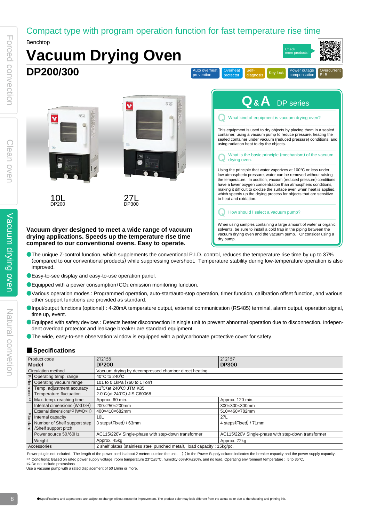### Compact type with program operation function for fast temperature rise time

Check more products!

Benchtop



- ●The unique Z-control function, which supplements the conventional P.I.D. control, reduces the temperature rise time by up to 37% (compared to our conventional products) while suppressing overshoot. Temperature stability during low-temperature operation is also improved.
- Easy-to-see display and easy-to-use operation panel.
- $\bullet$  Equipped with a power consumption/CO<sub>2</sub> emission monitoring function.
- OVarious operation modes : Programmed operation, auto-start/auto-stop operation, timer function, calibration offset function, and various other support functions are provided as standard.
- ●Input/output functions (optional) : 4-20mA temperature output, external communication (RS485) terminal, alarm output, operation signal, time up, event.
- ●Equipped with safety devices : Detects heater disconnection in single unit to prevent abnormal operation due to disconnection. Independent overload protector and leakage breaker are standard equipment.
- ●The wide, easy-to-see observation window is equipped with a polycarbonate protective cover for safety.

#### ■ **Specifications**

|                    | Product code                  | 212156                                                                  | 212157                                             |  |  |  |  |
|--------------------|-------------------------------|-------------------------------------------------------------------------|----------------------------------------------------|--|--|--|--|
|                    | <b>Model</b>                  | <b>DP200</b>                                                            | <b>DP300</b>                                       |  |  |  |  |
| Circulation method |                               | Vacuum drying by decompressed chamber direct heating                    |                                                    |  |  |  |  |
| Performance        | Operating temp. range         | 40 $\degree$ C to 240 $\degree$ C                                       |                                                    |  |  |  |  |
|                    | Operating vacuum range        | 101 to 0.1kPa (760 to 1 Torr)                                           |                                                    |  |  |  |  |
|                    | Temp. adjustment accuracy     | $±1^{\circ}C$ (at 240 $^{\circ}C$ ) JTM K05                             |                                                    |  |  |  |  |
|                    | Temperature fluctuation       | 2.0°C (at 240°C) JIS C60068                                             |                                                    |  |  |  |  |
|                    | Max. temp. reaching time      | Approx. 60 min.                                                         | Approx. 120 min.                                   |  |  |  |  |
|                    | Internal dimensions (WxDxH)   | 200×250×200mm                                                           | 300×300×300mm                                      |  |  |  |  |
|                    | External dimensions*2 (WxDxH) | 400×410×682mm                                                           | 510×460×782mm                                      |  |  |  |  |
|                    | Internal capacity             | 10 <sub>L</sub>                                                         | 27L                                                |  |  |  |  |
| Standard           | Number of Shelf support step  | 3 steps (Fixed) / 63mm                                                  | 4 steps (Fixed) / 71mm                             |  |  |  |  |
|                    | /Shelf support pitch          |                                                                         |                                                    |  |  |  |  |
|                    | Power source 50/60Hz          | AC115/220V Single-phase with step-down transformer                      | AC115/220V Single-phase with step-down transformer |  |  |  |  |
|                    | Weight                        | Approx. 45kg                                                            | Approx. 72kg                                       |  |  |  |  |
|                    | Accessories                   | 2 shelf plates (stainless steel punched metal), load capacity: 15kg/pc. |                                                    |  |  |  |  |
|                    |                               |                                                                         |                                                    |  |  |  |  |

Power plug is not included. The length of the power cord is about 2 meters outside the unit. () in the Power Supply column indicates the breaker capacity and the power supply capacity. ※1 Conditions: Based on rated power supply voltage, room temperature 23°C±5°C, humidity 65%RH±20%, and no load. Operating environment temperature : 5 to 35°C.

※2 Do not include protrusions

Use a vacuum pump with a rated displacement of 50 L/min or more.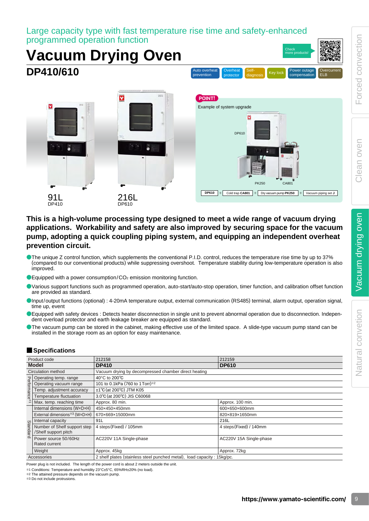Large capacity type with fast temperature rise time and safety-enhanced programmed operation function

# **Vacuum Drying Oven DP410/610**



Auto overheat prevention

#### **This is a high-volume processing type designed to meet a wide range of vacuum drying applications. Workability and safety are also improved by securing space for the vacuum pump, adopting a quick coupling piping system, and equipping an independent overheat prevention circuit.**

- ●The unique Z control function, which supplements the conventional P.I.D. control, reduces the temperature rise time by up to 37% (compared to our conventional products) while suppressing overshoot. Temperature stability during low-temperature operation is also improved.
- $\bullet$  Equipped with a power consumption/CO<sub>2</sub> emission monitoring function.
- ●Various support functions such as programmed operation, auto-start/auto-stop operation, timer function, and calibration offset function are provided as standard.
- ●Input/output functions (optional) : 4-20mA temperature output, external communication (RS485) terminal, alarm output, operation signal, time up, event
- ●Equipped with safety devices : Detects heater disconnection in single unit to prevent abnormal operation due to disconnection. Independent overload protector and earth leakage breaker are equipped as standard.
- The vacuum pump can be stored in the cabinet, making effective use of the limited space. A slide-type vacuum pump stand can be installed in the storage room as an option for easy maintenance.

#### ■ **Specifications**

| Product code |                                                      | 212158                                                                  | 212159                  |  |  |  |  |
|--------------|------------------------------------------------------|-------------------------------------------------------------------------|-------------------------|--|--|--|--|
|              | <b>Model</b>                                         | <b>DP410</b>                                                            | <b>DP610</b>            |  |  |  |  |
|              | <b>Circulation method</b>                            | Vacuum drying by decompressed chamber direct heating                    |                         |  |  |  |  |
| Performance  | Operating temp. range                                | 40°C to 200°C                                                           |                         |  |  |  |  |
|              | Operating vacuum range                               | 101 to 0.1kPa (760 to 1 Torr)*2                                         |                         |  |  |  |  |
|              | Temp. adjustment accuracy                            | $\pm$ 1°C (at 200°C) JTM K05                                            |                         |  |  |  |  |
|              | Temperature fluctuation                              | 3.0°C (at 200°C) JIS C60068                                             |                         |  |  |  |  |
|              | Max. temp. reaching time                             | Approx. 80 min.                                                         | Approx. 100 min.        |  |  |  |  |
|              | Internal dimensions (WxDxH)                          | 450×450×450mm                                                           | 600×650×600mm           |  |  |  |  |
|              | External dimensions*3 (WxDxH)                        | 670×669×15000mm                                                         | 820×819×1650mm          |  |  |  |  |
|              | Internal capacity                                    | 91L                                                                     | 216L                    |  |  |  |  |
| Standard     | Number of Shelf support step<br>/Shelf support pitch | 4 steps (Fixed) / 105mm                                                 | 4 steps (Fixed) / 140mm |  |  |  |  |
|              | Power source 50/60Hz                                 |                                                                         |                         |  |  |  |  |
|              | Rated current                                        | AC220V 11A Single-phase                                                 | AC220V 15A Single-phase |  |  |  |  |
|              | Weight                                               | Approx. 45kg                                                            | Approx. 72kg            |  |  |  |  |
| Accessories  |                                                      | 2 shelf plates (stainless steel punched metal), load capacity: 15kg/pc. |                         |  |  |  |  |

Power plug is not included. The length of the power cord is about 2 meters outside the unit.

※1 Conditions: Temperature and humidity 23°C±5°C, 65%RH±20% (no load).

※2 The attained pressure depends on the vacuum pump.

※3 Do not include protrusions.

Check more products!

compensation

**Overcurrent** ELB

diagnosis

Overheat Self-<br>protector diagnosis Key lock compensation

**Overheat**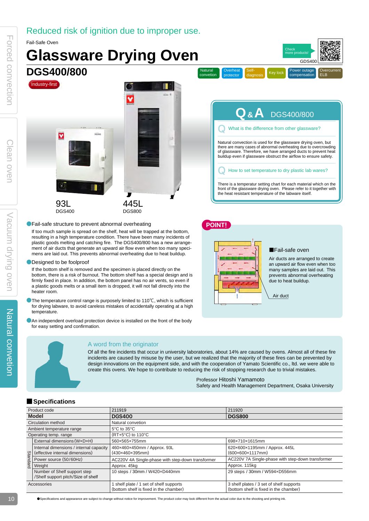### Reduced risk of ignition due to improper use.



#### ●Designed to be foolproof

If the bottom shelf is removed and the specimen is placed directly on the bottom, there is a risk of burnout. The bottom shelf has a special design and is firmly fixed in place. In addition, the bottom panel has no air vents, so even if a plastic goods melts or a small item is dropped, it will not fall directly into the heater room.

- The temperature control range is purposely limited to 110℃, which is sufficient for drying labware, to avoid careless mistakes of accidentally operating at a high temperature.
- **An independent overload protection device is installed on the front of the body** for easy setting and confirmation.



#### A word from the originator

Of all the fire incidents that occur in university laboratories, about 14% are caused by ovens. Almost all of these fire incidents are caused by misuse by the user, but we realized that the majority of these fires can be prevented by design innovations on the equipment side, and with the cooperation of Yamato Scientific co., ltd. we were able to create this ovens. We hope to contribute to reducing the risk of stopping research due to trivial mistakes.

Professor Hitoshi Yamamoto

Safety and Health Management Department, Osaka University

Air duct

due to heat buildup.

an upward air flow even when too many samples are laid out. This prevents abnormal overheating

#### ■ **Specifications**

| Product code          |                                                                                                     | 211919                                                                          | 211920                                                                             |  |  |  |  |  |
|-----------------------|-----------------------------------------------------------------------------------------------------|---------------------------------------------------------------------------------|------------------------------------------------------------------------------------|--|--|--|--|--|
|                       | <b>Model</b>                                                                                        | <b>DGS400</b>                                                                   | <b>DGS800</b>                                                                      |  |  |  |  |  |
| Circulation method    |                                                                                                     | Natural convetion                                                               |                                                                                    |  |  |  |  |  |
|                       | Ambient temperature range                                                                           | $5^{\circ}$ C to $35^{\circ}$ C                                                 |                                                                                    |  |  |  |  |  |
| Operating temp. range |                                                                                                     | $(RT+5°C)$ to 110°C                                                             |                                                                                    |  |  |  |  |  |
|                       | External dimensions (WxDxH)                                                                         | 560×565×755mm                                                                   | 698×710×1615mm                                                                     |  |  |  |  |  |
|                       | Internal dimensions / internal capacity<br>(effective internal dimensions)                          | 460×460×450mm / Approx. 93L<br>$(430\times460\times395$ mm)                     | 620×600×1195mm / Approx. 445L<br>$(600 \times 600 \times 1117$ mm)                 |  |  |  |  |  |
| Standard              | Power source (50/60Hz)                                                                              | AC220V 4A Single-phase with step-down transformer                               | AC220V 7A Single-phase with step-down transformer                                  |  |  |  |  |  |
|                       | Weight                                                                                              | Approx. 45kg                                                                    | Approx. 115kg                                                                      |  |  |  |  |  |
|                       | Number of Shelf support step<br>10 steps / 30mm / W420xD440mm<br>/Shelf support pitch/Size of shelf |                                                                                 | 29 steps / 30mm / W594xD556mm                                                      |  |  |  |  |  |
| Accessories           |                                                                                                     | shelf plate / 1 set of shelf supports<br>(bottom shelf is fixed in the chamber) | 3 shelf plates / 3 set of shelf supports<br>(bottom shelf is fixed in the chamber) |  |  |  |  |  |

自

●Specifications and appearance are subject to change without notice for improvement. The product color may look different from the actual color due to the shooting and printing ink.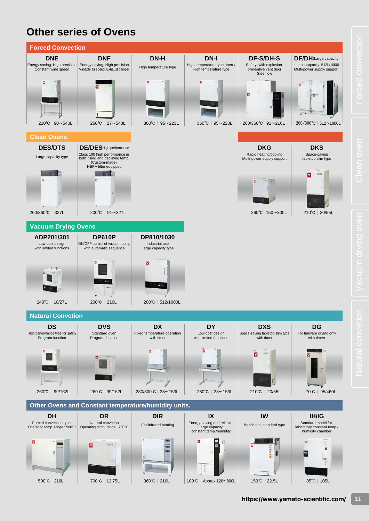# **Other series of Ovens**